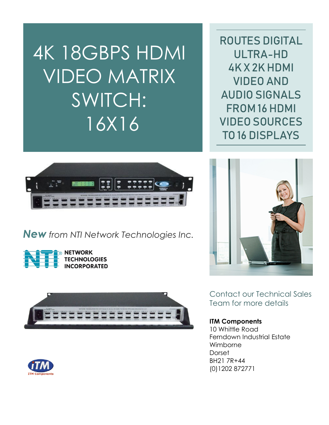4K 18GBPS HDMI VIDEO MATRIX SWITCH: 16X16

ROUTES DIGITAL ULTRA-HD 4K X 2K HDMI VIDEO AND AUDIO SIGNALS FROM 16 HDMI VIDEO SOURCES TO 16 DISPLAYS



*New from NTI Network Technologies Inc.*









Contact our Technical Sales Team for more details

## **ITM Components**

10 Whittle Road Ferndown Industrial Estate Wimborne **Dorset** BH21 7R+44 (0)1202 872771